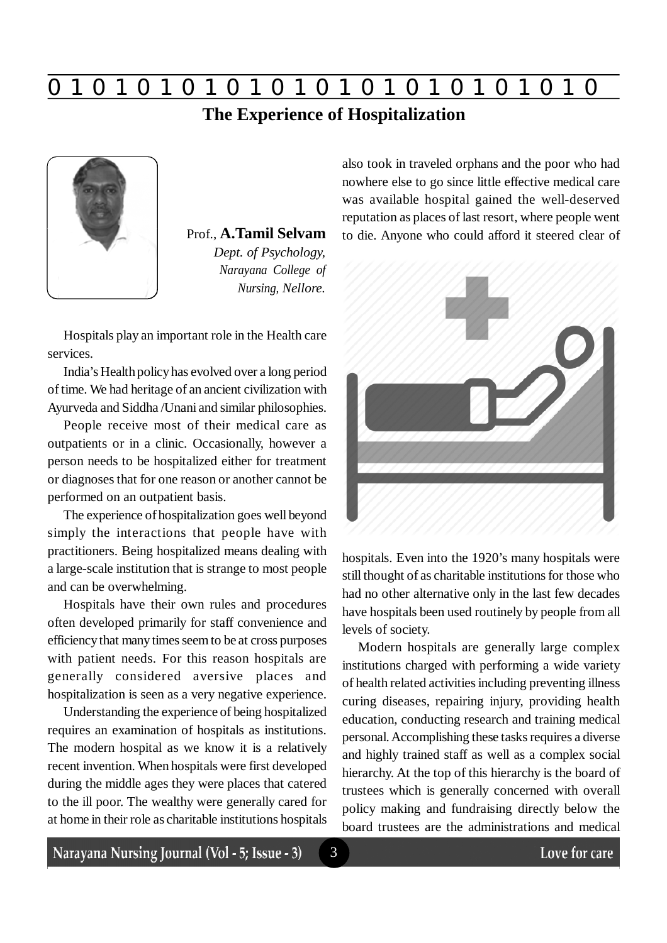

## **The Experience of Hospitalization**



Prof., **A.Tamil Selvam** *Dept. of Psychology, Narayana College of Nursing, Nellore.*

Hospitals play an important role in the Health care services.

India's Health policy has evolved over a long period of time. We had heritage of an ancient civilization with Ayurveda and Siddha /Unani and similar philosophies.

People receive most of their medical care as outpatients or in a clinic. Occasionally, however a person needs to be hospitalized either for treatment or diagnoses that for one reason or another cannot be performed on an outpatient basis.

The experience of hospitalization goes well beyond simply the interactions that people have with practitioners. Being hospitalized means dealing with a large-scale institution that is strange to most people and can be overwhelming.

Hospitals have their own rules and procedures often developed primarily for staff convenience and efficiency that many times seem to be at cross purposes with patient needs. For this reason hospitals are generally considered aversive places and hospitalization is seen as a very negative experience.

Understanding the experience of being hospitalized requires an examination of hospitals as institutions. The modern hospital as we know it is a relatively recent invention. When hospitals were first developed during the middle ages they were places that catered to the ill poor. The wealthy were generally cared for at home in their role as charitable institutions hospitals also took in traveled orphans and the poor who had nowhere else to go since little effective medical care was available hospital gained the well-deserved reputation as places of last resort, where people went to die. Anyone who could afford it steered clear of



hospitals. Even into the 1920's many hospitals were still thought of as charitable institutions for those who had no other alternative only in the last few decades have hospitals been used routinely by people from all levels of society.

Modern hospitals are generally large complex institutions charged with performing a wide variety of health related activities including preventing illness curing diseases, repairing injury, providing health education, conducting research and training medical personal. Accomplishing these tasks requires a diverse and highly trained staff as well as a complex social hierarchy. At the top of this hierarchy is the board of trustees which is generally concerned with overall policy making and fundraising directly below the board trustees are the administrations and medical

Narayana Nursing Journal (Vol - 5; Issue - 3)